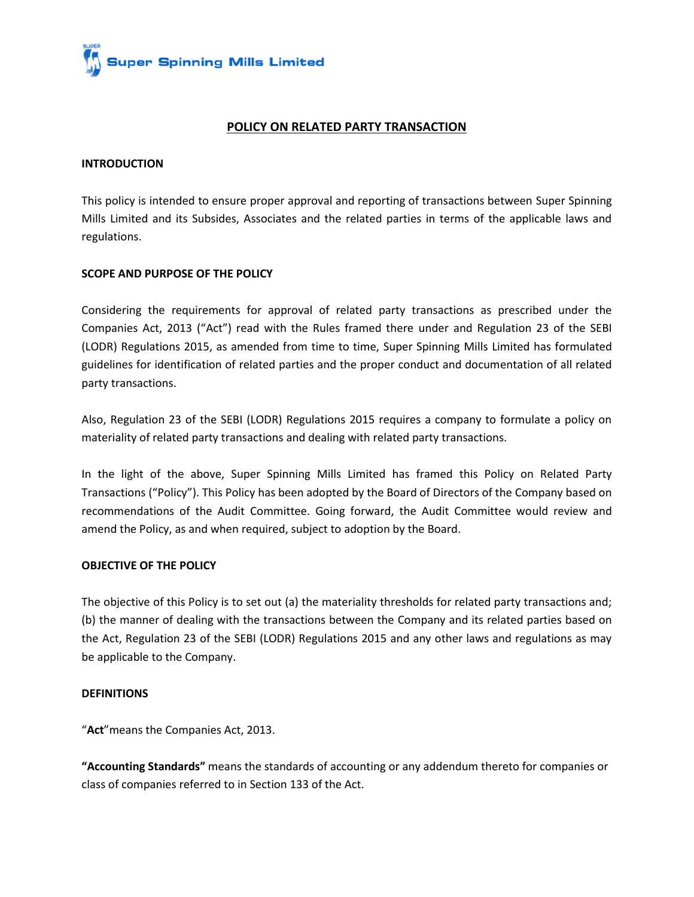

## **POLICY ON RELATED PARTY TRANSACTION**

#### **INTRODUCTION**

This policy is intended to ensure proper approval and reporting of transactions between Super Spinning Mills Limited and its Subsides, Associates and the related parties in terms of the applicable laws and regulations.

## **SCOPE AND PURPOSE OF THE POLICY**

Considering the requirements for approval of related party transactions as prescribed under the Companies Act, 2013 ("Act") read with the Rules framed there under and Regulation 23 of the SEBI (LODR) Regulations 2015, as amended from time to time, Super Spinning Mills Limited has formulated guidelines for identification of related parties and the proper conduct and documentation of all related party transactions.

Also, Regulation 23 of the SEBI (LODR) Regulations 2015 requires a company to formulate a policy on materiality of related party transactions and dealing with related party transactions.

In the light of the above, Super Spinning Mills Limited has framed this Policy on Related Party Transactions ("Policy"). This Policy has been adopted by the Board of Directors of the Company based on recommendations of the Audit Committee. Going forward, the Audit Committee would review and amend the Policy, as and when required, subject to adoption by the Board.

#### **OBJECTIVE OF THE POLICY**

The objective of this Policy is to set out (a) the materiality thresholds for related party transactions and; (b) the manner of dealing with the transactions between the Company and its related parties based on the Act, Regulation 23 of the SEBI (LODR) Regulations 2015 and any other laws and regulations as may be applicable to the Company.

#### **DEFINITIONS**

"**Act**"means the Companies Act, 2013.

**"Accounting Standards"** means the standards of accounting or any addendum thereto for companies or class of companies referred to in Section 133 of the Act.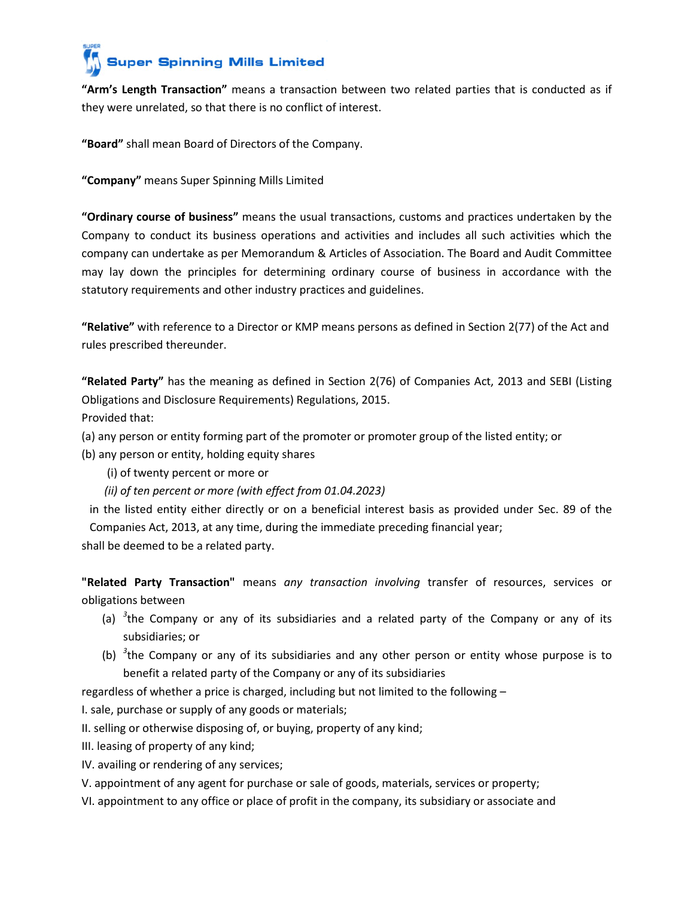**"Arm's Length Transaction"** means a transaction between two related parties that is conducted as if they were unrelated, so that there is no conflict of interest.

**"Board"** shall mean Board of Directors of the Company.

**"Company"** means Super Spinning Mills Limited

**"Ordinary course of business"** means the usual transactions, customs and practices undertaken by the Company to conduct its business operations and activities and includes all such activities which the company can undertake as per Memorandum & Articles of Association. The Board and Audit Committee may lay down the principles for determining ordinary course of business in accordance with the statutory requirements and other industry practices and guidelines.

**"Relative"** with reference to a Director or KMP means persons as defined in Section 2(77) of the Act and rules prescribed thereunder.

**"Related Party"** has the meaning as defined in Section 2(76) of Companies Act, 2013 and SEBI (Listing Obligations and Disclosure Requirements) Regulations, 2015.

Provided that:

(a) any person or entity forming part of the promoter or promoter group of the listed entity; or

(b) any person or entity, holding equity shares

(i) of twenty percent or more or

 *(ii) of ten percent or more (with effect from 01.04.2023)*

in the listed entity either directly or on a beneficial interest basis as provided under Sec. 89 of the Companies Act, 2013, at any time, during the immediate preceding financial year;

shall be deemed to be a related party.

**"Related Party Transaction"** means *any transaction involving* transfer of resources, services or obligations between

- (a) *<sup>3</sup>* the Company or any of its subsidiaries and a related party of the Company or any of its subsidiaries; or
- (b) *<sup>3</sup>* the Company or any of its subsidiaries and any other person or entity whose purpose is to benefit a related party of the Company or any of its subsidiaries

regardless of whether a price is charged, including but not limited to the following –

I. sale, purchase or supply of any goods or materials;

II. selling or otherwise disposing of, or buying, property of any kind;

III. leasing of property of any kind;

IV. availing or rendering of any services;

V. appointment of any agent for purchase or sale of goods, materials, services or property;

VI. appointment to any office or place of profit in the company, its subsidiary or associate and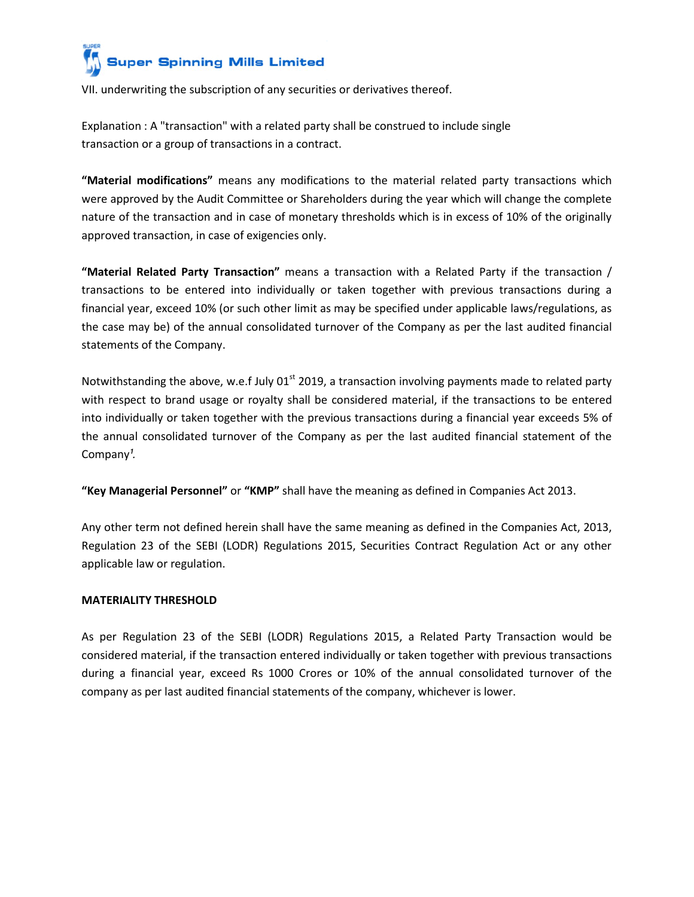

VII. underwriting the subscription of any securities or derivatives thereof.

Explanation : A "transaction" with a related party shall be construed to include single transaction or a group of transactions in a contract.

**"Material modifications"** means any modifications to the material related party transactions which were approved by the Audit Committee or Shareholders during the year which will change the complete nature of the transaction and in case of monetary thresholds which is in excess of 10% of the originally approved transaction, in case of exigencies only.

**"Material Related Party Transaction"** means a transaction with a Related Party if the transaction / transactions to be entered into individually or taken together with previous transactions during a financial year, exceed 10% (or such other limit as may be specified under applicable laws/regulations, as the case may be) of the annual consolidated turnover of the Company as per the last audited financial statements of the Company.

Notwithstanding the above, w.e.f July 01<sup>st</sup> 2019, a transaction involving payments made to related party with respect to brand usage or royalty shall be considered material, if the transactions to be entered into individually or taken together with the previous transactions during a financial year exceeds 5% of the annual consolidated turnover of the Company as per the last audited financial statement of the Company<sup>1</sup>.

**"Key Managerial Personnel"** or **"KMP"** shall have the meaning as defined in Companies Act 2013.

Any other term not defined herein shall have the same meaning as defined in the Companies Act, 2013, Regulation 23 of the SEBI (LODR) Regulations 2015, Securities Contract Regulation Act or any other applicable law or regulation.

## **MATERIALITY THRESHOLD**

As per Regulation 23 of the SEBI (LODR) Regulations 2015, a Related Party Transaction would be considered material, if the transaction entered individually or taken together with previous transactions during a financial year, exceed Rs 1000 Crores or 10% of the annual consolidated turnover of the company as per last audited financial statements of the company, whichever is lower.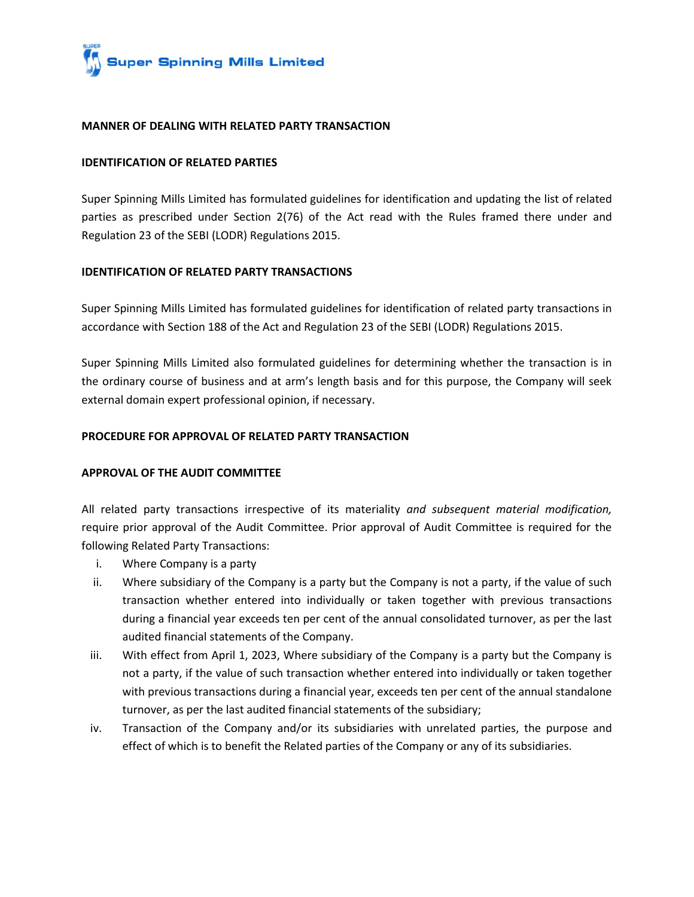

#### **MANNER OF DEALING WITH RELATED PARTY TRANSACTION**

#### **IDENTIFICATION OF RELATED PARTIES**

Super Spinning Mills Limited has formulated guidelines for identification and updating the list of related parties as prescribed under Section 2(76) of the Act read with the Rules framed there under and Regulation 23 of the SEBI (LODR) Regulations 2015.

#### **IDENTIFICATION OF RELATED PARTY TRANSACTIONS**

Super Spinning Mills Limited has formulated guidelines for identification of related party transactions in accordance with Section 188 of the Act and Regulation 23 of the SEBI (LODR) Regulations 2015.

Super Spinning Mills Limited also formulated guidelines for determining whether the transaction is in the ordinary course of business and at arm's length basis and for this purpose, the Company will seek external domain expert professional opinion, if necessary.

#### **PROCEDURE FOR APPROVAL OF RELATED PARTY TRANSACTION**

## **APPROVAL OF THE AUDIT COMMITTEE**

All related party transactions irrespective of its materiality *and subsequent material modification,* require prior approval of the Audit Committee. Prior approval of Audit Committee is required for the following Related Party Transactions:

- i. Where Company is a party
- ii. Where subsidiary of the Company is a party but the Company is not a party, if the value of such transaction whether entered into individually or taken together with previous transactions during a financial year exceeds ten per cent of the annual consolidated turnover, as per the last audited financial statements of the Company.
- iii. With effect from April 1, 2023, Where subsidiary of the Company is a party but the Company is not a party, if the value of such transaction whether entered into individually or taken together with previous transactions during a financial year, exceeds ten per cent of the annual standalone turnover, as per the last audited financial statements of the subsidiary;
- iv. Transaction of the Company and/or its subsidiaries with unrelated parties, the purpose and effect of which is to benefit the Related parties of the Company or any of its subsidiaries.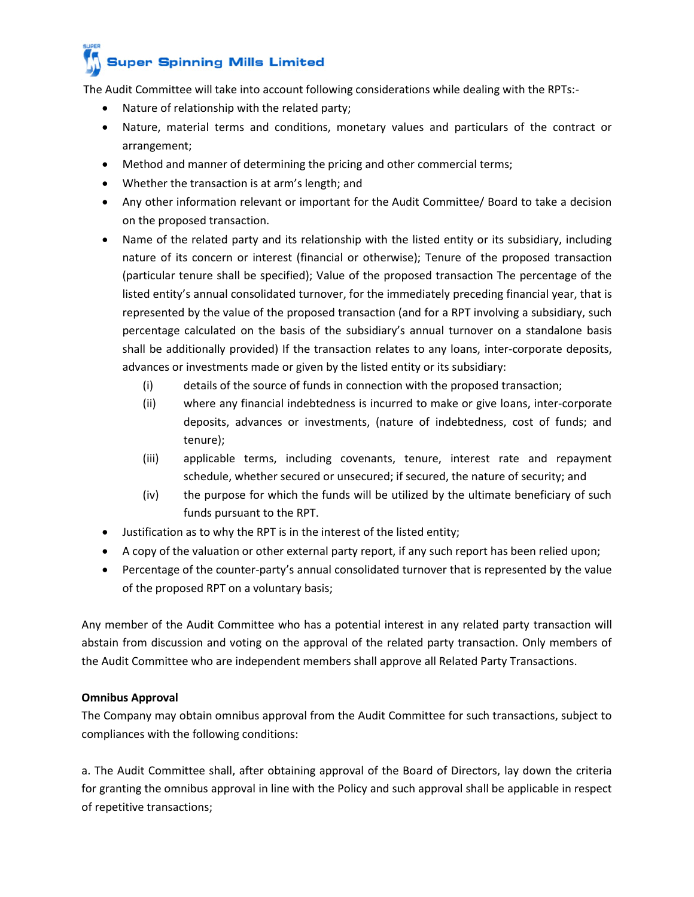# **Super Spinning Mills Limited**

The Audit Committee will take into account following considerations while dealing with the RPTs:-

- Nature of relationship with the related party;
- Nature, material terms and conditions, monetary values and particulars of the contract or arrangement;
- Method and manner of determining the pricing and other commercial terms;
- Whether the transaction is at arm's length; and
- Any other information relevant or important for the Audit Committee/ Board to take a decision on the proposed transaction.
- Name of the related party and its relationship with the listed entity or its subsidiary, including nature of its concern or interest (financial or otherwise); Tenure of the proposed transaction (particular tenure shall be specified); Value of the proposed transaction The percentage of the listed entity's annual consolidated turnover, for the immediately preceding financial year, that is represented by the value of the proposed transaction (and for a RPT involving a subsidiary, such percentage calculated on the basis of the subsidiary's annual turnover on a standalone basis shall be additionally provided) If the transaction relates to any loans, inter-corporate deposits, advances or investments made or given by the listed entity or its subsidiary:
	- (i) details of the source of funds in connection with the proposed transaction;
	- (ii) where any financial indebtedness is incurred to make or give loans, inter-corporate deposits, advances or investments, (nature of indebtedness, cost of funds; and tenure);
	- (iii) applicable terms, including covenants, tenure, interest rate and repayment schedule, whether secured or unsecured; if secured, the nature of security; and
	- (iv) the purpose for which the funds will be utilized by the ultimate beneficiary of such funds pursuant to the RPT.
- Justification as to why the RPT is in the interest of the listed entity;
- A copy of the valuation or other external party report, if any such report has been relied upon;
- Percentage of the counter-party's annual consolidated turnover that is represented by the value of the proposed RPT on a voluntary basis;

Any member of the Audit Committee who has a potential interest in any related party transaction will abstain from discussion and voting on the approval of the related party transaction. Only members of the Audit Committee who are independent members shall approve all Related Party Transactions.

# **Omnibus Approval**

The Company may obtain omnibus approval from the Audit Committee for such transactions, subject to compliances with the following conditions:

a. The Audit Committee shall, after obtaining approval of the Board of Directors, lay down the criteria for granting the omnibus approval in line with the Policy and such approval shall be applicable in respect of repetitive transactions;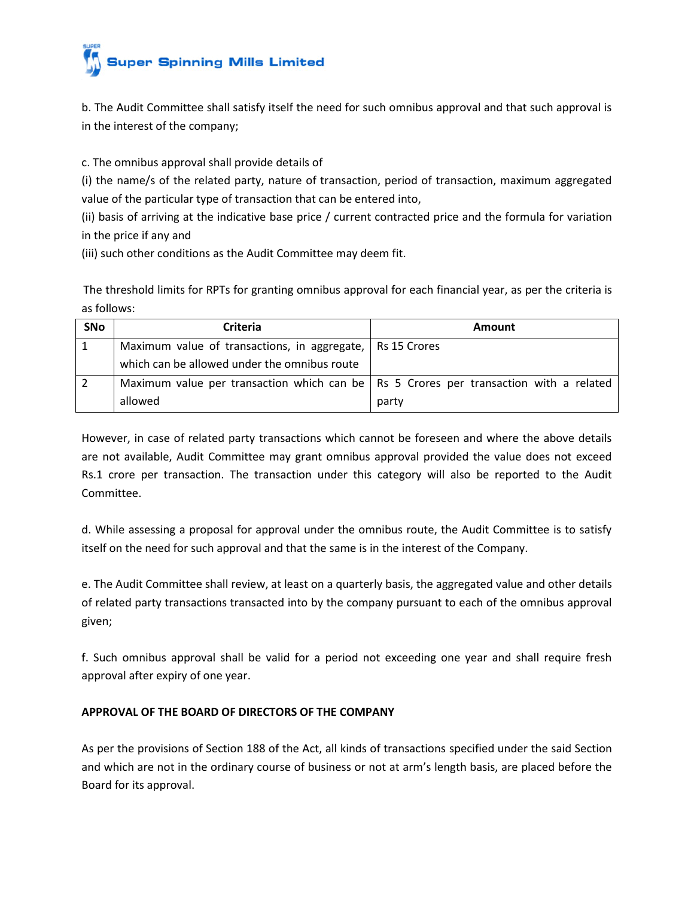

b. The Audit Committee shall satisfy itself the need for such omnibus approval and that such approval is in the interest of the company;

c. The omnibus approval shall provide details of

(i) the name/s of the related party, nature of transaction, period of transaction, maximum aggregated value of the particular type of transaction that can be entered into,

(ii) basis of arriving at the indicative base price / current contracted price and the formula for variation in the price if any and

(iii) such other conditions as the Audit Committee may deem fit.

The threshold limits for RPTs for granting omnibus approval for each financial year, as per the criteria is as follows:

| <b>SNo</b> | <b>Criteria</b>                                                                         | <b>Amount</b> |
|------------|-----------------------------------------------------------------------------------------|---------------|
|            | Maximum value of transactions, in aggregate,   Rs 15 Crores                             |               |
|            | which can be allowed under the omnibus route                                            |               |
|            | Maximum value per transaction which can be   Rs 5 Crores per transaction with a related |               |
|            | allowed                                                                                 | party         |

However, in case of related party transactions which cannot be foreseen and where the above details are not available, Audit Committee may grant omnibus approval provided the value does not exceed Rs.1 crore per transaction. The transaction under this category will also be reported to the Audit Committee.

d. While assessing a proposal for approval under the omnibus route, the Audit Committee is to satisfy itself on the need for such approval and that the same is in the interest of the Company.

e. The Audit Committee shall review, at least on a quarterly basis, the aggregated value and other details of related party transactions transacted into by the company pursuant to each of the omnibus approval given;

f. Such omnibus approval shall be valid for a period not exceeding one year and shall require fresh approval after expiry of one year.

## **APPROVAL OF THE BOARD OF DIRECTORS OF THE COMPANY**

As per the provisions of Section 188 of the Act, all kinds of transactions specified under the said Section and which are not in the ordinary course of business or not at arm's length basis, are placed before the Board for its approval.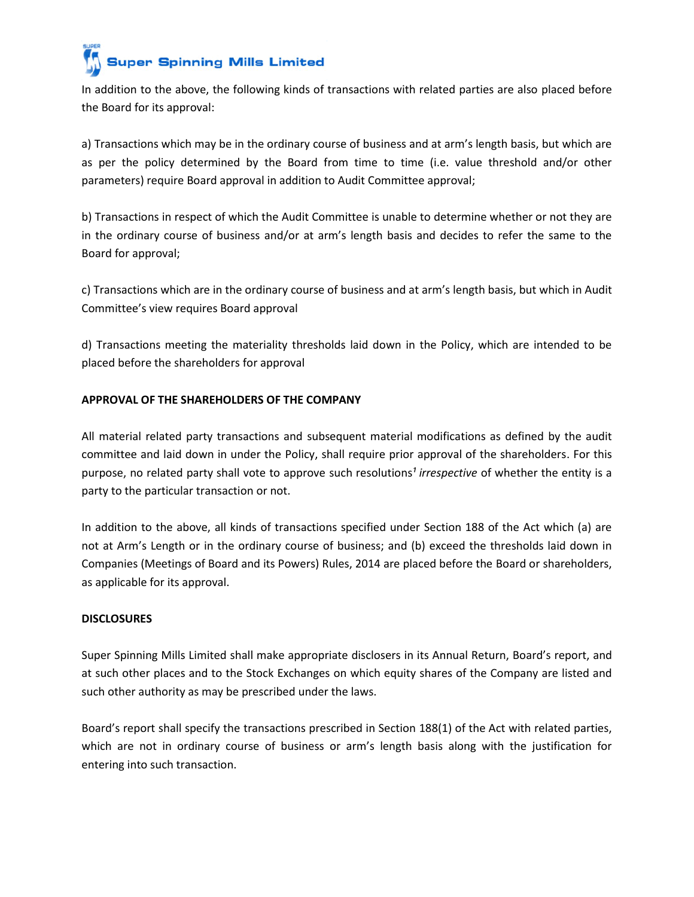**Super Spinning Mills Limited** 

In addition to the above, the following kinds of transactions with related parties are also placed before the Board for its approval:

a) Transactions which may be in the ordinary course of business and at arm's length basis, but which are as per the policy determined by the Board from time to time (i.e. value threshold and/or other parameters) require Board approval in addition to Audit Committee approval;

b) Transactions in respect of which the Audit Committee is unable to determine whether or not they are in the ordinary course of business and/or at arm's length basis and decides to refer the same to the Board for approval;

c) Transactions which are in the ordinary course of business and at arm's length basis, but which in Audit Committee's view requires Board approval

d) Transactions meeting the materiality thresholds laid down in the Policy, which are intended to be placed before the shareholders for approval

# **APPROVAL OF THE SHAREHOLDERS OF THE COMPANY**

All material related party transactions and subsequent material modifications as defined by the audit committee and laid down in under the Policy, shall require prior approval of the shareholders. For this purpose, no related party shall vote to approve such resolutions<sup>1</sup> irrespective of whether the entity is a party to the particular transaction or not.

In addition to the above, all kinds of transactions specified under Section 188 of the Act which (a) are not at Arm's Length or in the ordinary course of business; and (b) exceed the thresholds laid down in Companies (Meetings of Board and its Powers) Rules, 2014 are placed before the Board or shareholders, as applicable for its approval.

## **DISCLOSURES**

Super Spinning Mills Limited shall make appropriate disclosers in its Annual Return, Board's report, and at such other places and to the Stock Exchanges on which equity shares of the Company are listed and such other authority as may be prescribed under the laws.

Board's report shall specify the transactions prescribed in Section 188(1) of the Act with related parties, which are not in ordinary course of business or arm's length basis along with the justification for entering into such transaction.